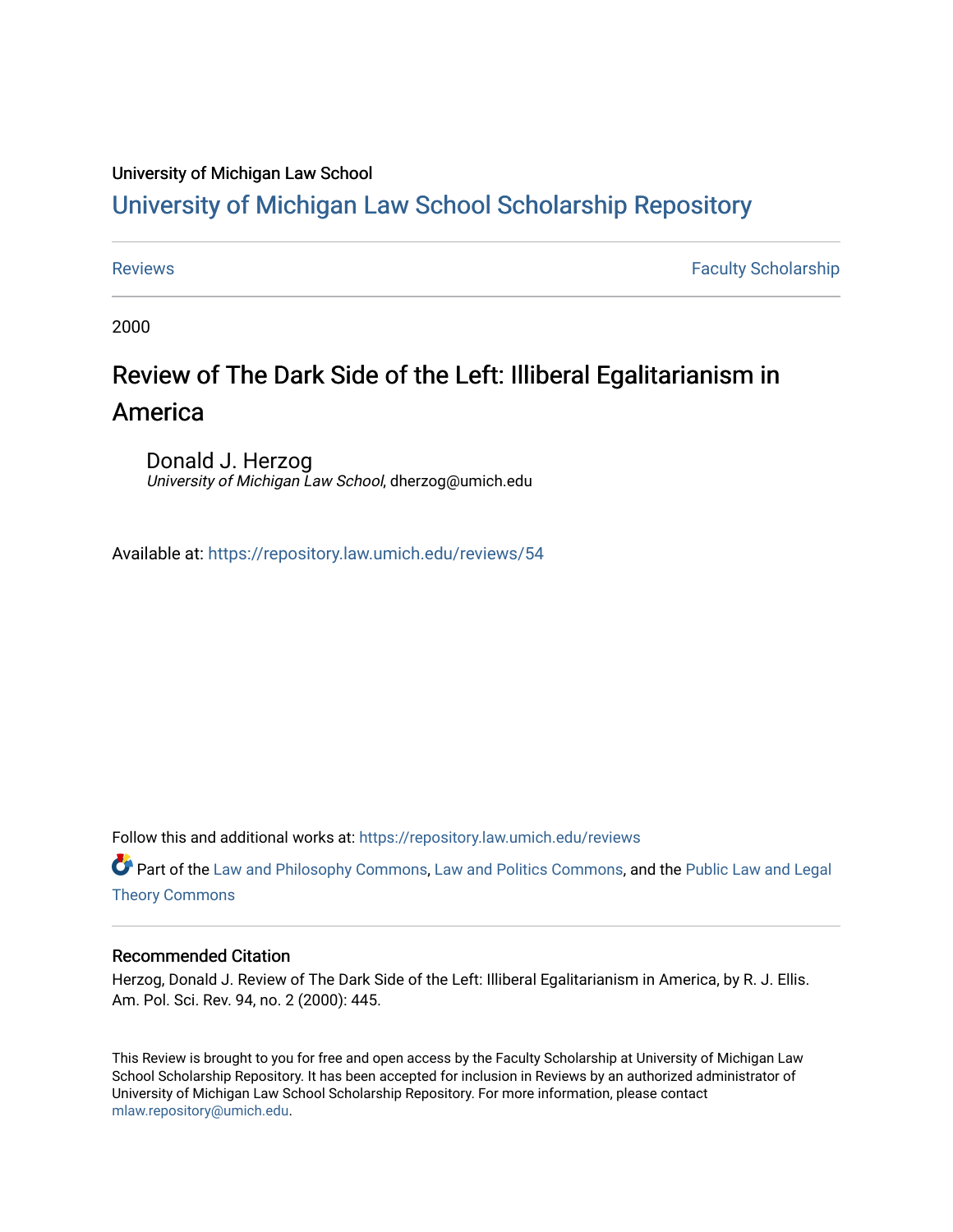## University of Michigan Law School

## [University of Michigan Law School Scholarship Repository](https://repository.law.umich.edu/)

[Reviews](https://repository.law.umich.edu/reviews) **Faculty Scholarship Faculty Scholarship Faculty Scholarship** 

2000

# Review of The Dark Side of the Left: Illiberal Egalitarianism in America

Donald J. Herzog University of Michigan Law School, dherzog@umich.edu

Available at: <https://repository.law.umich.edu/reviews/54>

Follow this and additional works at: [https://repository.law.umich.edu/reviews](https://repository.law.umich.edu/reviews?utm_source=repository.law.umich.edu%2Freviews%2F54&utm_medium=PDF&utm_campaign=PDFCoverPages) 

Part of the [Law and Philosophy Commons,](http://network.bepress.com/hgg/discipline/1299?utm_source=repository.law.umich.edu%2Freviews%2F54&utm_medium=PDF&utm_campaign=PDFCoverPages) [Law and Politics Commons,](http://network.bepress.com/hgg/discipline/867?utm_source=repository.law.umich.edu%2Freviews%2F54&utm_medium=PDF&utm_campaign=PDFCoverPages) and the [Public Law and Legal](http://network.bepress.com/hgg/discipline/871?utm_source=repository.law.umich.edu%2Freviews%2F54&utm_medium=PDF&utm_campaign=PDFCoverPages)  [Theory Commons](http://network.bepress.com/hgg/discipline/871?utm_source=repository.law.umich.edu%2Freviews%2F54&utm_medium=PDF&utm_campaign=PDFCoverPages)

## Recommended Citation

Herzog, Donald J. Review of The Dark Side of the Left: Illiberal Egalitarianism in America, by R. J. Ellis. Am. Pol. Sci. Rev. 94, no. 2 (2000): 445.

This Review is brought to you for free and open access by the Faculty Scholarship at University of Michigan Law School Scholarship Repository. It has been accepted for inclusion in Reviews by an authorized administrator of University of Michigan Law School Scholarship Repository. For more information, please contact [mlaw.repository@umich.edu.](mailto:mlaw.repository@umich.edu)